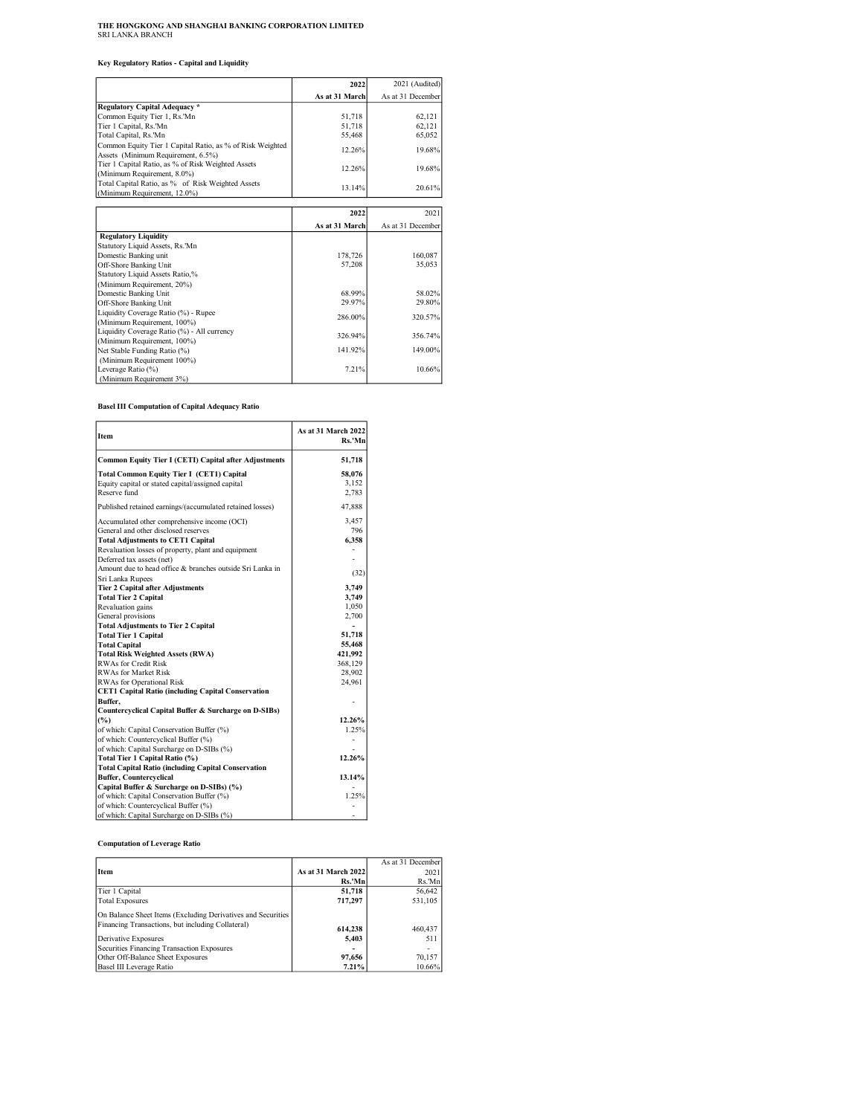# THE HONGKONG AND SHANGHAI BANKING CORPORATION LIMITED SRI LANKA BRANCH

Key Regulatory Ratios - Capital and Liquidity

|                                                                                                 | 2022           | 2021 (Audited)    |
|-------------------------------------------------------------------------------------------------|----------------|-------------------|
|                                                                                                 | As at 31 March | As at 31 December |
| Regulatory Capital Adequacy*                                                                    |                |                   |
| Common Equity Tier 1, Rs. Mn                                                                    | 51,718         | 62,121            |
| Tier 1 Capital, Rs.'Mn                                                                          | 51,718         | 62,121            |
| Total Capital, Rs.'Mn                                                                           | 55,468         | 65,052            |
| Common Equity Tier 1 Capital Ratio, as % of Risk Weighted<br>Assets (Minimum Requirement, 6.5%) | 12.26%         | 19.68%            |
| Tier 1 Capital Ratio, as % of Risk Weighted Assets<br>(Minimum Requirement, 8.0%)               | 12.26%         | 19.68%            |
| Total Capital Ratio, as % of Risk Weighted Assets<br>(Minimum Requirement, 12.0%)               | 13.14%         | 20.61%            |
|                                                                                                 |                |                   |
|                                                                                                 | 2022           | 2021              |
|                                                                                                 | As at 31 March | As at 31 December |
| <b>Regulatory Liquidity</b>                                                                     |                |                   |
| Statutory Liquid Assets, Rs.'Mn                                                                 |                |                   |
| Domestic Banking unit                                                                           | 178.726        | 160,087           |
| $0.42$ Chann Danking Unit                                                                       | 57.200         | 25 OS2            |

| Off-Shore Banking Unit                      | 57.208  | 35,053  |
|---------------------------------------------|---------|---------|
| Statutory Liquid Assets Ratio,%             |         |         |
| (Minimum Requirement, 20%)                  |         |         |
| Domestic Banking Unit                       | 68.99%  | 58.02%  |
| Off-Shore Banking Unit                      | 29.97%  | 29.80%  |
| Liquidity Coverage Ratio (%) - Rupee        | 286.00% | 320.57% |
| (Minimum Requirement, 100%)                 |         |         |
| Liquidity Coverage Ratio (%) - All currency | 326.94% | 356.74% |
| (Minimum Requirement, 100%)                 |         |         |
| Net Stable Funding Ratio (%)                | 141.92% | 149.00% |
| (Minimum Requirement 100%)                  |         |         |
| Leverage Ratio (%)                          | 7.21%   | 10.66%  |
| (Minimum Requirement 3%)                    |         |         |

5

Basel III Computation of Capital Adequacy Ratio

r

| Item                                                       | As at 31 March 2022<br>Rs.'Mn |
|------------------------------------------------------------|-------------------------------|
| Common Equity Tier I (CETI) Capital after Adjustments      | 51,718                        |
| Total Common Equity Tier I (CET1) Capital                  | 58.076                        |
| Equity capital or stated capital/assigned capital          | 3,152                         |
| Reserve fund                                               | 2,783                         |
| Published retained earnings/(accumulated retained losses)  | 47,888                        |
| Accumulated other comprehensive income (OCI)               | 3,457                         |
| General and other disclosed reserves                       | 796                           |
| <b>Total Adjustments to CET1 Capital</b>                   | 6,358                         |
| Revaluation losses of property, plant and equipment        |                               |
| Deferred tax assets (net)                                  |                               |
| Amount due to head office & branches outside Sri Lanka in  | (32)                          |
| Sri Lanka Rupees                                           |                               |
| Tier 2 Capital after Adjustments                           | 3.749                         |
| <b>Total Tier 2 Capital</b>                                | 3,749                         |
| Revaluation gains                                          | 1,050                         |
| General provisions                                         | 2,700                         |
| <b>Total Adjustments to Tier 2 Capital</b>                 |                               |
| <b>Total Tier 1 Capital</b>                                | 51,718                        |
| <b>Total Capital</b>                                       | 55,468                        |
| <b>Total Risk Weighted Assets (RWA)</b>                    | 421,992                       |
| RWAs for Credit Risk                                       | 368,129                       |
| RWAs for Market Risk                                       | 28,902                        |
| RWAs for Operational Risk                                  | 24.961                        |
| <b>CET1 Capital Ratio (including Capital Conservation</b>  |                               |
| Buffer,                                                    |                               |
| Countercyclical Capital Buffer & Surcharge on D-SIBs)      |                               |
| (%)                                                        | 12.26%                        |
| of which: Capital Conservation Buffer (%)                  | 1.25%                         |
| of which: Countercyclical Buffer (%)                       |                               |
| of which: Capital Surcharge on D-SIBs (%)                  |                               |
| Total Tier 1 Capital Ratio (%)                             | 12.26%                        |
| <b>Total Capital Ratio (including Capital Conservation</b> |                               |
| <b>Buffer, Countercyclical</b>                             | 13.14%                        |
| Capital Buffer & Surcharge on D-SIBs) (%)                  |                               |
| of which: Capital Conservation Buffer (%)                  | 1.25%                         |
| of which: Countercyclical Buffer (%)                       |                               |
| of which: Capital Surcharge on D-SIBs (%)                  |                               |

## Computation of Leverage Ratio

|                                                              |                     | As at 31 December |
|--------------------------------------------------------------|---------------------|-------------------|
|                                                              |                     |                   |
| <b>I</b> tem                                                 | As at 31 March 2022 | 2021              |
|                                                              | Rs.'Mn              | Rs.'Mn            |
| Tier 1 Capital                                               | 51,718              | 56,642            |
| <b>Total Exposures</b>                                       | 717.297             | 531,105           |
| On Balance Sheet Items (Excluding Derivatives and Securities |                     |                   |
| Financing Transactions, but including Collateral)            | 614.238             | 460,437           |
| Derivative Exposures                                         | 5,403               | 511               |
| Securities Financing Transaction Exposures                   |                     |                   |
| Other Off-Balance Sheet Exposures                            | 97,656              | 70,157            |
| Basel III Leverage Ratio                                     | 7.21%               | 10.66%            |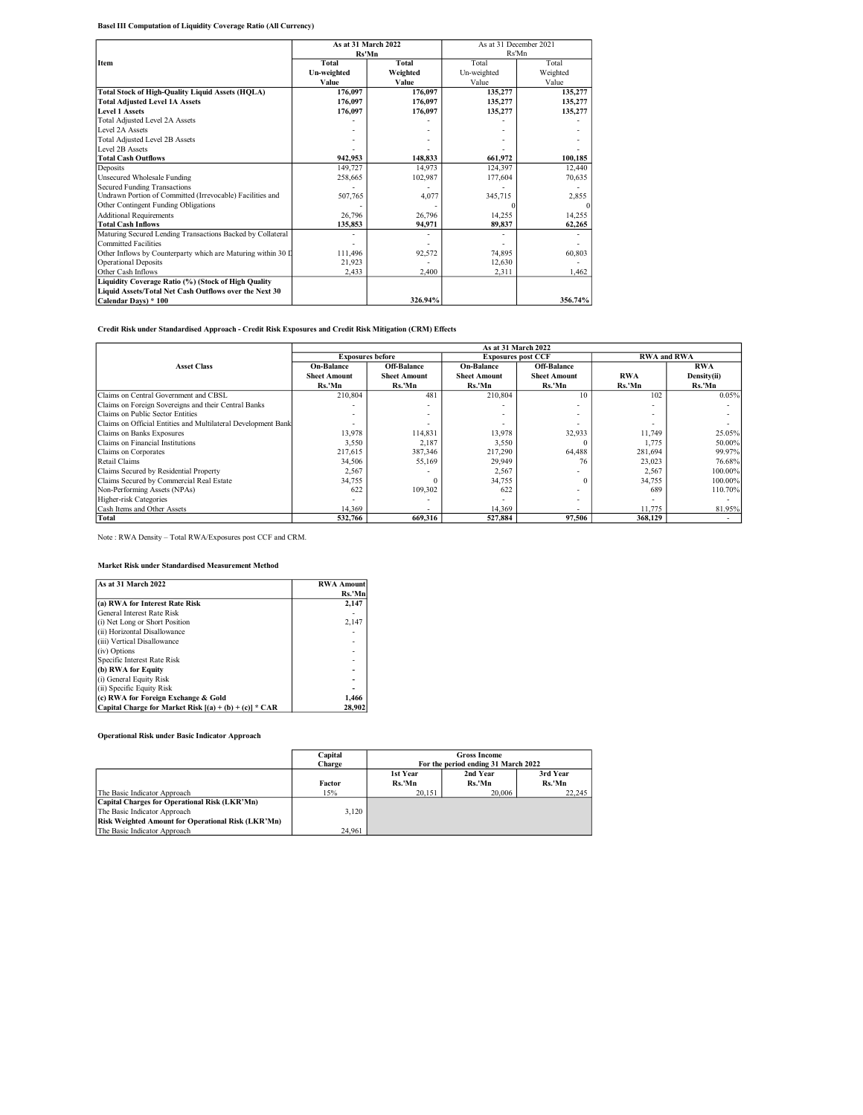## Basel III Computation of Liquidity Coverage Ratio (All Currency)

|                                                              | As at 31 March 2022 |          | As at 31 December 2021 |          |  |
|--------------------------------------------------------------|---------------------|----------|------------------------|----------|--|
|                                                              | Rs'Mn               |          | Rs'Mn                  |          |  |
| Item                                                         | Total               | Total    | Total                  | Total    |  |
|                                                              | Un-weighted         | Weighted | Un-weighted            | Weighted |  |
|                                                              | Value               | Value    | Value                  | Value    |  |
| <b>Total Stock of High-Quality Liquid Assets (HQLA)</b>      | 176,097             | 176,097  | 135,277                | 135,277  |  |
| <b>Total Adjusted Level 1A Assets</b>                        | 176.097             | 176.097  | 135,277                | 135,277  |  |
| Level 1 Assets                                               | 176.097             | 176.097  | 135,277                | 135,277  |  |
| Total Adiusted Level 2A Assets                               |                     |          |                        |          |  |
| Level 2A Assets                                              |                     |          |                        |          |  |
| <b>Total Adjusted Level 2B Assets</b>                        |                     |          |                        |          |  |
| Level 2B Assets                                              |                     |          |                        |          |  |
| <b>Total Cash Outflows</b>                                   | 942.953             | 148,833  | 661,972                | 100,185  |  |
| Deposits                                                     | 149,727             | 14.973   | 124,397                | 12,440   |  |
| Unsecured Wholesale Funding                                  | 258,665             | 102,987  | 177,604                | 70,635   |  |
| Secured Funding Transactions                                 |                     |          |                        |          |  |
| Undrawn Portion of Committed (Irrevocable) Facilities and    | 507,765             | 4,077    | 345,715                | 2,855    |  |
| Other Contingent Funding Obligations                         |                     |          |                        | $\Omega$ |  |
| <b>Additional Requirements</b>                               | 26,796              | 26,796   | 14,255                 | 14.255   |  |
| <b>Total Cash Inflows</b>                                    | 135,853             | 94,971   | 89.837                 | 62,265   |  |
| Maturing Secured Lending Transactions Backed by Collateral   |                     |          |                        |          |  |
| Committed Facilities                                         |                     |          |                        |          |  |
| Other Inflows by Counterparty which are Maturing within 30 L | 111.496             | 92,572   | 74,895                 | 60.803   |  |
| Operational Deposits                                         | 21,923              |          | 12,630                 |          |  |
| Other Cash Inflows                                           | 2.433               | 2,400    | 2.311                  | 1.462    |  |
| Liquidity Coverage Ratio (%) (Stock of High Quality          |                     |          |                        |          |  |
| Liquid Assets/Total Net Cash Outflows over the Next 30       |                     |          |                        |          |  |
| Calendar Davs) * 100                                         |                     | 326.94%  |                        | 356.74%  |  |

# Credit Risk under Standardised Approach - Credit Risk Exposures and Credit Risk Mitigation (CRM) Effects

|                                                               | As at 31 March 2022                                  |                     |                     |                     |                          |             |
|---------------------------------------------------------------|------------------------------------------------------|---------------------|---------------------|---------------------|--------------------------|-------------|
|                                                               | <b>Exposures before</b><br><b>Exposures post CCF</b> |                     |                     | <b>RWA and RWA</b>  |                          |             |
| <b>Asset Class</b>                                            | <b>On-Balance</b>                                    | <b>Off-Balance</b>  | <b>On-Balance</b>   | <b>Off-Balance</b>  |                          | <b>RWA</b>  |
|                                                               | <b>Sheet Amount</b>                                  | <b>Sheet Amount</b> | <b>Sheet Amount</b> | <b>Sheet Amount</b> | <b>RWA</b>               | Density(ii) |
|                                                               | Rs.'Mn                                               | Rs.'Mn              | Rs.'Mn              | Rs.'Mn              | Rs.'Mn                   | Rs.'Mn      |
| Claims on Central Government and CBSL                         | 210,804                                              | 481                 | 210,804             | 10                  | 102                      | 0.05%       |
| Claims on Foreign Sovereigns and their Central Banks          |                                                      |                     |                     |                     |                          |             |
| Claims on Public Sector Entities                              |                                                      | ۰                   | ۰.                  | -                   | $\sim$                   |             |
| Claims on Official Entities and Multilateral Development Bank |                                                      | ۰                   |                     |                     |                          |             |
| Claims on Banks Exposures                                     | 13,978                                               | 114.831             | 13,978              | 32,933              | 11.749                   | 25.05%      |
| Claims on Financial Institutions                              | 3,550                                                | 2,187               | 3,550               |                     | 1.775                    | 50.00%      |
| Claims on Corporates                                          | 217,615                                              | 387,346             | 217,290             | 64,488              | 281,694                  | 99.97%      |
| Retail Claims                                                 | 34.506                                               | 55,169              | 29,949              | 76                  | 23.023                   | 76.68%      |
| Claims Secured by Residential Property                        | 2,567                                                | -                   | 2,567               | ۰                   | 2,567                    | 100.00%     |
| Claims Secured by Commercial Real Estate                      | 34,755                                               |                     | 34,755              | $\Omega$            | 34,755                   | 100.00%     |
| Non-Performing Assets (NPAs)                                  | 622                                                  | 109,302             | 622                 | -                   | 689                      | 110.70%     |
| Higher-risk Categories                                        |                                                      | ۰                   |                     |                     | $\overline{\phantom{a}}$ |             |
| Cash Items and Other Assets                                   | 14.369                                               | $\sim$              | 14.369              | -                   | 11,775                   | 81.95%      |
| Total                                                         | 532,766                                              | 669.316             | 527,884             | 97.506              | 368,129                  |             |

Note : RWA Density – Total RWA/Exposures post CCF and CRM.

# Market Risk under Standardised Measurement Method

| As at 31 March 2022                                      | <b>RWA Amount</b> |
|----------------------------------------------------------|-------------------|
|                                                          | Rs.'Mn            |
| (a) RWA for Interest Rate Risk                           | 2.147             |
| General Interest Rate Risk                               |                   |
| (i) Net Long or Short Position                           | 2.147             |
| (ii) Horizontal Disallowance                             |                   |
| (iii) Vertical Disallowance                              |                   |
| (iv) Options                                             |                   |
| Specific Interest Rate Risk                              |                   |
| (b) RWA for Equity                                       |                   |
| (i) General Equity Risk                                  |                   |
| (ii) Specific Equity Risk                                |                   |
| (c) RWA for Foreign Exchange & Gold                      | 1.466             |
| Capital Charge for Market Risk $[(a) + (b) + (c)] * CAR$ | 28.902            |

## Operational Risk under Basic Indicator Approach

|                                                           | Capital | <b>Gross Income</b>                 |          |        |  |
|-----------------------------------------------------------|---------|-------------------------------------|----------|--------|--|
|                                                           | Charge  | For the period ending 31 March 2022 |          |        |  |
|                                                           |         | 1st Year                            | 3rd Year |        |  |
|                                                           | Factor  | Rs.'Mn                              | Rs.'Mn   | Rs.'Mn |  |
| The Basic Indicator Approach                              | 15%     | 20.151                              | 20,006   | 22.245 |  |
| Capital Charges for Operational Risk (LKR'Mn)             |         |                                     |          |        |  |
| The Basic Indicator Approach                              | 3.120   |                                     |          |        |  |
| <b>Risk Weighted Amount for Operational Risk (LKR'Mn)</b> |         |                                     |          |        |  |
| The Basic Indicator Approach                              | 24.961  |                                     |          |        |  |